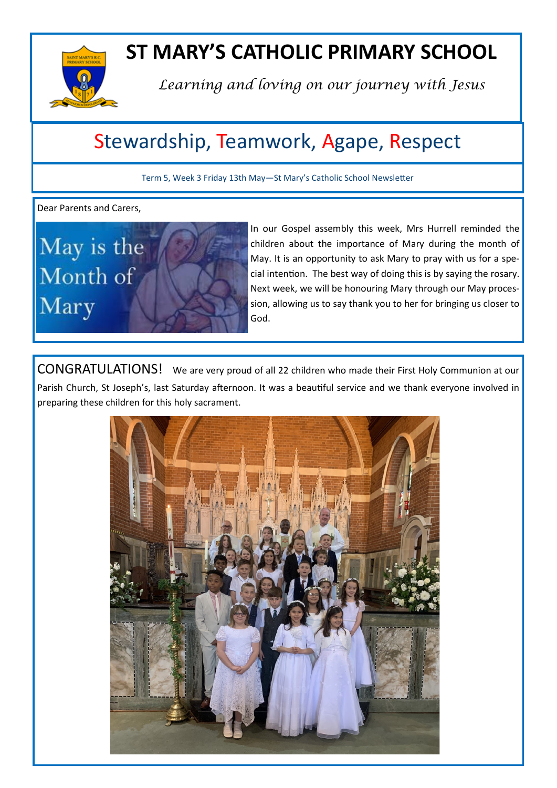

# **ST MARY'S CATHOLIC PRIMARY SCHOOL**

*Learning and loving on our journey with Jesus*

# Stewardship, Teamwork, Agape, Respect

Term 5, Week 3 Friday 13th May—St Mary's Catholic School Newsletter

Dear Parents and Carers,



In our Gospel assembly this week, Mrs Hurrell reminded the children about the importance of Mary during the month of May. It is an opportunity to ask Mary to pray with us for a special intention. The best way of doing this is by saying the rosary. Next week, we will be honouring Mary through our May procession, allowing us to say thank you to her for bringing us closer to God.

CONGRATULATIONS! We are very proud of all 22 children who made their First Holy Communion at our Parish Church, St Joseph's, last Saturday afternoon. It was a beautiful service and we thank everyone involved in preparing these children for this holy sacrament.

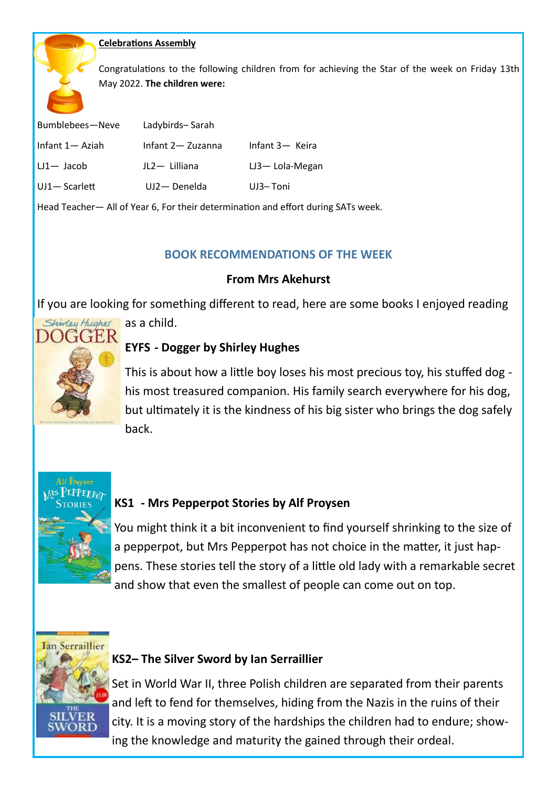### **Celebrations Assembly**

Congratulations to the following children from for achieving the Star of the week on Friday 13th May 2022. **The children were:**

| Bumblebees-Neve  | Ladybirds-Sarah    |                    |
|------------------|--------------------|--------------------|
| Infant 1— Aziah  | Infant 2 - Zuzanna | Infant 3- Keira    |
| $LI -$ Jacob     | JL2-Lilliana       | $LJ3 - Lola-Megan$ |
| $UJ1 -$ Scarlett | UJ2-Denelda        | UJ3-Toni           |

Head Teacher— All of Year 6, For their determination and effort during SATs week.

## **BOOK RECOMMENDATIONS OF THE WEEK**

## **From Mrs Akehurst**

If you are looking for something different to read, here are some books I enjoyed reading



as a child.

## **EYFS - Dogger by Shirley Hughes**

This is about how a little boy loses his most precious toy, his stuffed dog his most treasured companion. His family search everywhere for his dog, but ultimately it is the kindness of his big sister who brings the dog safely back.



# **KS1 - Mrs Pepperpot Stories by Alf Proysen**

You might think it a bit inconvenient to find yourself shrinking to the size of a pepperpot, but Mrs Pepperpot has not choice in the matter, it just happens. These stories tell the story of a little old lady with a remarkable secret and show that even the smallest of people can come out on top.

**Ian Serraillier** 

# **KS2– The Silver Sword by Ian Serraillier**

Set in World War II, three Polish children are separated from their parents and left to fend for themselves, hiding from the Nazis in the ruins of their city. It is a moving story of the hardships the children had to endure; showing the knowledge and maturity the gained through their ordeal.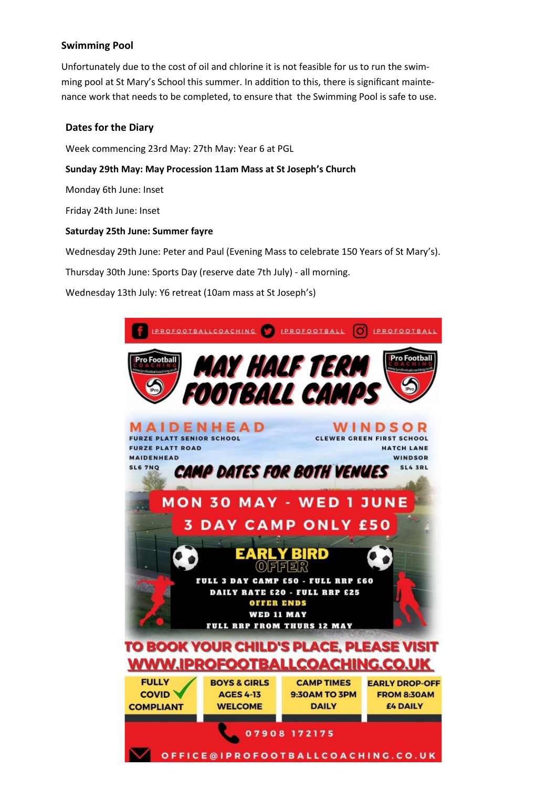### **Swimming Pool**

Unfortunately due to the cost of oil and chlorine it is not feasible for us to run the swimming pool at St Mary's School this summer. In addition to this, there is significant maintenance work that needs to be completed, to ensure that the Swimming Pool is safe to use.

#### **Dates for the Diary**

Week commencing 23rd May: 27th May: Year 6 at PGL

#### **Sunday 29th May: May Procession 11am Mass at St Joseph's Church**

Monday 6th June: Inset

Friday 24th June: Inset

#### **Saturday 25th June: Summer fayre**

Wednesday 29th June: Peter and Paul (Evening Mass to celebrate 150 Years of St Mary's).

Thursday 30th June: Sports Day (reserve date 7th July) - all morning.

Wednesday 13th July: Y6 retreat (10am mass at St Joseph's)